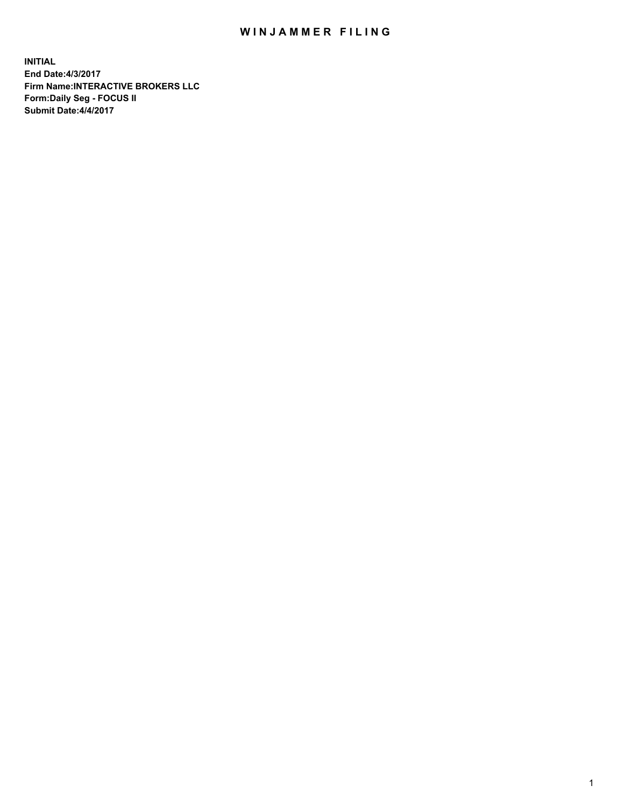## WIN JAMMER FILING

**INITIAL End Date:4/3/2017 Firm Name:INTERACTIVE BROKERS LLC Form:Daily Seg - FOCUS II Submit Date:4/4/2017**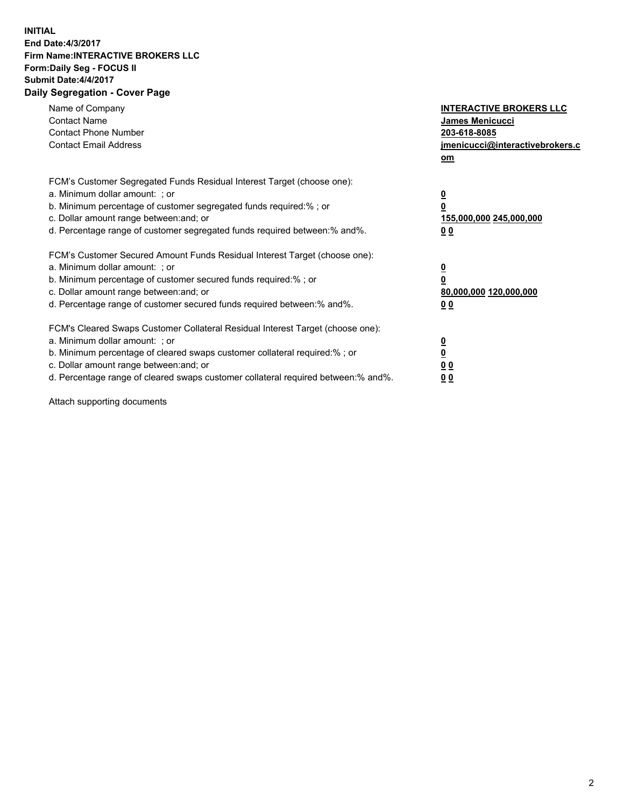## **INITIAL End Date:4/3/2017 Firm Name:INTERACTIVE BROKERS LLC Form:Daily Seg - FOCUS II Submit Date:4/4/2017 Daily Segregation - Cover Page**

| Name of Company<br><b>Contact Name</b><br><b>Contact Phone Number</b><br><b>Contact Email Address</b>                                                                                                                                                                                                                          | <b>INTERACTIVE BROKERS LLC</b><br>James Menicucci<br>203-618-8085<br>jmenicucci@interactivebrokers.c<br>om |
|--------------------------------------------------------------------------------------------------------------------------------------------------------------------------------------------------------------------------------------------------------------------------------------------------------------------------------|------------------------------------------------------------------------------------------------------------|
| FCM's Customer Segregated Funds Residual Interest Target (choose one):<br>a. Minimum dollar amount: ; or<br>b. Minimum percentage of customer segregated funds required:%; or<br>c. Dollar amount range between: and; or<br>d. Percentage range of customer segregated funds required between:% and%.                          | $\overline{\mathbf{0}}$<br>$\overline{\mathbf{0}}$<br>155,000,000 245,000,000<br>00                        |
| FCM's Customer Secured Amount Funds Residual Interest Target (choose one):<br>a. Minimum dollar amount: ; or<br>b. Minimum percentage of customer secured funds required:%; or<br>c. Dollar amount range between: and; or<br>d. Percentage range of customer secured funds required between: % and %.                          | $\overline{\mathbf{0}}$<br>$\mathbf 0$<br>80,000,000 120,000,000<br>00                                     |
| FCM's Cleared Swaps Customer Collateral Residual Interest Target (choose one):<br>a. Minimum dollar amount: ; or<br>b. Minimum percentage of cleared swaps customer collateral required:% ; or<br>c. Dollar amount range between: and; or<br>d. Percentage range of cleared swaps customer collateral required between:% and%. | $\overline{\mathbf{0}}$<br>$\underline{\mathbf{0}}$<br>0 <sub>0</sub><br>0 <sub>0</sub>                    |

Attach supporting documents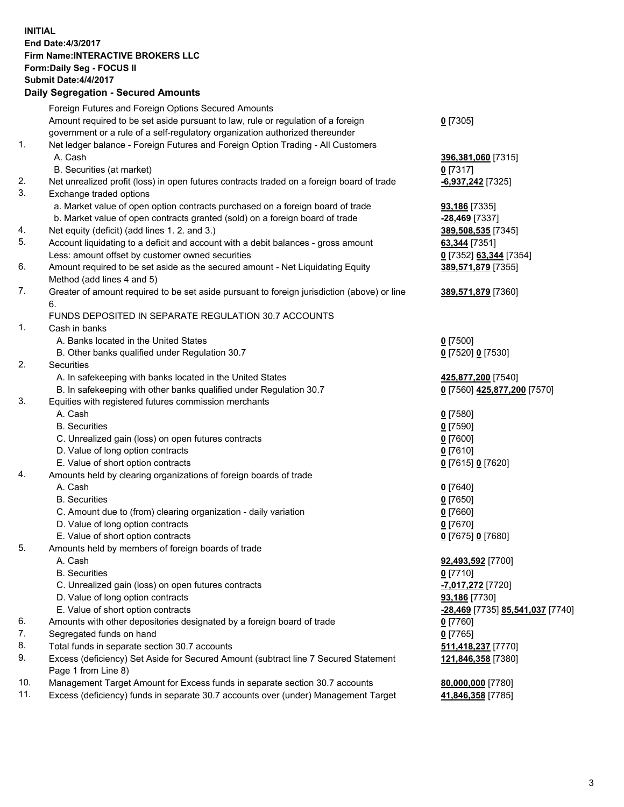## **INITIAL End Date:4/3/2017 Firm Name:INTERACTIVE BROKERS LLC Form:Daily Seg - FOCUS II Submit Date:4/4/2017 Daily Segregation - Secured Amounts**

|     | Dany Ocgregation - Oceanea Amounts                                                          |                                  |
|-----|---------------------------------------------------------------------------------------------|----------------------------------|
|     | Foreign Futures and Foreign Options Secured Amounts                                         |                                  |
|     | Amount required to be set aside pursuant to law, rule or regulation of a foreign            | $0$ [7305]                       |
|     | government or a rule of a self-regulatory organization authorized thereunder                |                                  |
| 1.  | Net ledger balance - Foreign Futures and Foreign Option Trading - All Customers             |                                  |
|     | A. Cash                                                                                     | 396,381,060 [7315]               |
|     | B. Securities (at market)                                                                   | $0$ [7317]                       |
| 2.  | Net unrealized profit (loss) in open futures contracts traded on a foreign board of trade   | -6,937,242 [7325]                |
| 3.  | Exchange traded options                                                                     |                                  |
|     | a. Market value of open option contracts purchased on a foreign board of trade              | <b>93,186</b> [7335]             |
|     | b. Market value of open contracts granted (sold) on a foreign board of trade                | <u>-28,469</u> [7337]            |
| 4.  | Net equity (deficit) (add lines 1.2. and 3.)                                                | 389,508,535 [7345]               |
| 5.  | Account liquidating to a deficit and account with a debit balances - gross amount           | 63,344 [7351]                    |
|     | Less: amount offset by customer owned securities                                            | 0 [7352] 63,344 [7354]           |
| 6.  | Amount required to be set aside as the secured amount - Net Liquidating Equity              | 389,571,879 [7355]               |
|     | Method (add lines 4 and 5)                                                                  |                                  |
| 7.  | Greater of amount required to be set aside pursuant to foreign jurisdiction (above) or line | 389,571,879 [7360]               |
|     | 6.                                                                                          |                                  |
|     | FUNDS DEPOSITED IN SEPARATE REGULATION 30.7 ACCOUNTS                                        |                                  |
| 1.  | Cash in banks                                                                               |                                  |
|     | A. Banks located in the United States                                                       | $0$ [7500]                       |
|     | B. Other banks qualified under Regulation 30.7                                              | 0 [7520] 0 [7530]                |
| 2.  | Securities                                                                                  |                                  |
|     | A. In safekeeping with banks located in the United States                                   | 425,877,200 [7540]               |
|     | B. In safekeeping with other banks qualified under Regulation 30.7                          | 0 [7560] 425,877,200 [7570]      |
| 3.  | Equities with registered futures commission merchants                                       |                                  |
|     | A. Cash                                                                                     | $0$ [7580]                       |
|     | <b>B.</b> Securities                                                                        | $0$ [7590]                       |
|     | C. Unrealized gain (loss) on open futures contracts                                         | $0$ [7600]                       |
|     | D. Value of long option contracts                                                           | $0$ [7610]                       |
|     | E. Value of short option contracts                                                          | 0 [7615] 0 [7620]                |
| 4.  | Amounts held by clearing organizations of foreign boards of trade                           |                                  |
|     | A. Cash                                                                                     | $0$ [7640]                       |
|     | <b>B.</b> Securities                                                                        | $0$ [7650]                       |
|     | C. Amount due to (from) clearing organization - daily variation                             | $0$ [7660]                       |
|     | D. Value of long option contracts                                                           | $0$ [7670]                       |
|     | E. Value of short option contracts                                                          | 0 [7675] 0 [7680]                |
| 5.  | Amounts held by members of foreign boards of trade                                          |                                  |
|     | A. Cash                                                                                     | 92,493,592 [7700]                |
|     | <b>B.</b> Securities                                                                        | $0$ [7710]                       |
|     | C. Unrealized gain (loss) on open futures contracts                                         | -7,017,272 [7720]                |
|     | D. Value of long option contracts                                                           | 93,186 [7730]                    |
|     | E. Value of short option contracts                                                          | -28,469 [7735] 85,541,037 [7740] |
| 6.  | Amounts with other depositories designated by a foreign board of trade                      | $0$ [7760]                       |
| 7.  | Segregated funds on hand                                                                    | $0$ [7765]                       |
| 8.  | Total funds in separate section 30.7 accounts                                               | 511,418,237 [7770]               |
| 9.  | Excess (deficiency) Set Aside for Secured Amount (subtract line 7 Secured Statement         | 121,846,358 [7380]               |
|     | Page 1 from Line 8)                                                                         |                                  |
| 10. | Management Target Amount for Excess funds in separate section 30.7 accounts                 | 80,000,000 [7780]                |
| 11. | Excess (deficiency) funds in separate 30.7 accounts over (under) Management Target          | 41,846,358 [7785]                |
|     |                                                                                             |                                  |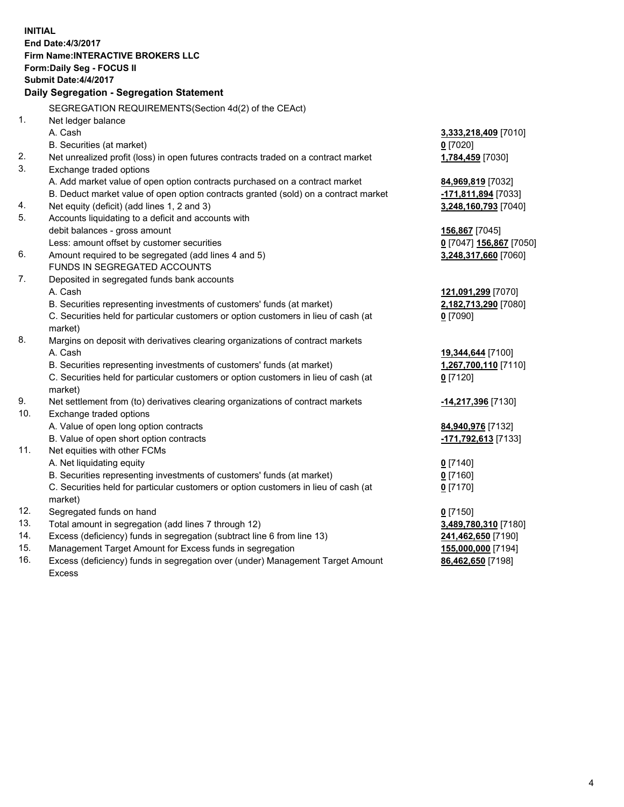**INITIAL End Date:4/3/2017 Firm Name:INTERACTIVE BROKERS LLC Form:Daily Seg - FOCUS II Submit Date:4/4/2017 Daily Segregation - Segregation Statement** SEGREGATION REQUIREMENTS(Section 4d(2) of the CEAct) 1. Net ledger balance A. Cash **3,333,218,409** [7010] B. Securities (at market) **0** [7020] 2. Net unrealized profit (loss) in open futures contracts traded on a contract market **1,784,459** [7030] 3. Exchange traded options A. Add market value of open option contracts purchased on a contract market **84,969,819** [7032] B. Deduct market value of open option contracts granted (sold) on a contract market **-171,811,894** [7033] 4. Net equity (deficit) (add lines 1, 2 and 3) **3,248,160,793** [7040] 5. Accounts liquidating to a deficit and accounts with debit balances - gross amount **156,867** [7045] Less: amount offset by customer securities **0** [7047] **156,867** [7050] 6. Amount required to be segregated (add lines 4 and 5) **3,248,317,660** [7060] FUNDS IN SEGREGATED ACCOUNTS 7. Deposited in segregated funds bank accounts A. Cash **121,091,299** [7070] B. Securities representing investments of customers' funds (at market) **2,182,713,290** [7080] C. Securities held for particular customers or option customers in lieu of cash (at market) **0** [7090] 8. Margins on deposit with derivatives clearing organizations of contract markets A. Cash **19,344,644** [7100] B. Securities representing investments of customers' funds (at market) **1,267,700,110** [7110] C. Securities held for particular customers or option customers in lieu of cash (at market) **0** [7120] 9. Net settlement from (to) derivatives clearing organizations of contract markets **-14,217,396** [7130] 10. Exchange traded options A. Value of open long option contracts **84,940,976** [7132] B. Value of open short option contracts **-171,792,613** [7133] 11. Net equities with other FCMs A. Net liquidating equity **0** [7140] B. Securities representing investments of customers' funds (at market) **0** [7160] C. Securities held for particular customers or option customers in lieu of cash (at market) **0** [7170] 12. Segregated funds on hand **0** [7150] 13. Total amount in segregation (add lines 7 through 12) **3,489,780,310** [7180] 14. Excess (deficiency) funds in segregation (subtract line 6 from line 13) **241,462,650** [7190] 15. Management Target Amount for Excess funds in segregation **155,000,000** [7194]

16. Excess (deficiency) funds in segregation over (under) Management Target Amount Excess

**86,462,650** [7198]